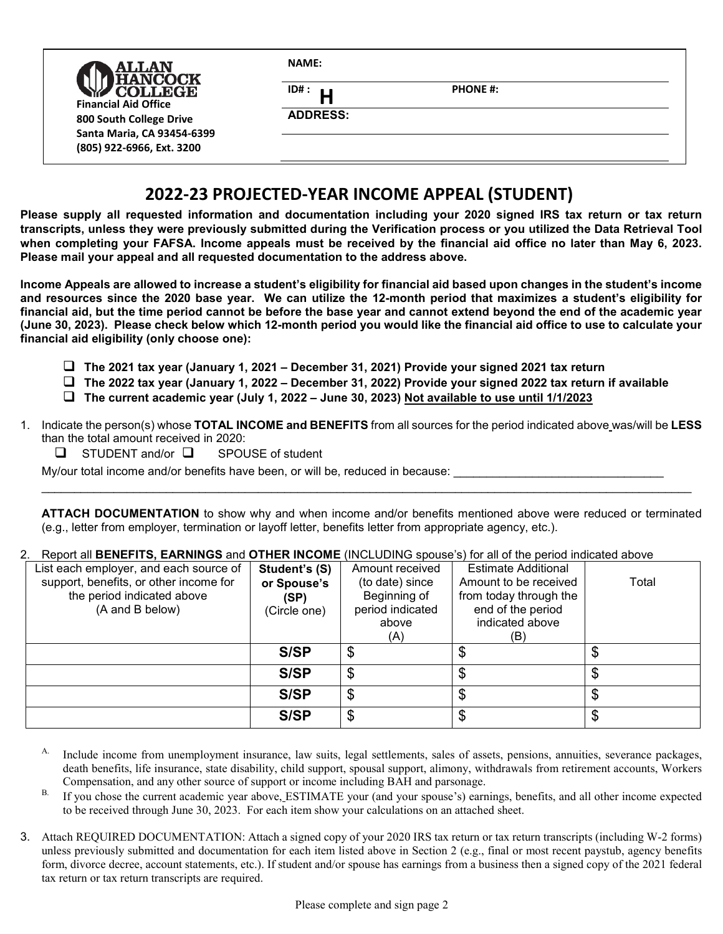| <b>ALLAN</b><br><b>ANCOCK</b><br><b>COLLEGE</b><br><b>Financial Aid Office</b><br>800 South College Drive | <b>NAME:</b>            |                 |  |  |  |
|-----------------------------------------------------------------------------------------------------------|-------------------------|-----------------|--|--|--|
|                                                                                                           | ID#:<br><b>ADDRESS:</b> | <b>PHONE #:</b> |  |  |  |
| Santa Maria, CA 93454-6399<br>(805) 922-6966, Ext. 3200                                                   |                         |                 |  |  |  |

# **2022-23 PROJECTED-YEAR INCOME APPEAL (STUDENT)**

**Please supply all requested information and documentation including your 2020 signed IRS tax return or tax return transcripts, unless they were previously submitted during the Verification process or you utilized the Data Retrieval Tool when completing your FAFSA. Income appeals must be received by the financial aid office no later than May 6, 2023. Please mail your appeal and all requested documentation to the address above.**

**Income Appeals are allowed to increase a student's eligibility for financial aid based upon changes in the student's income and resources since the 2020 base year. We can utilize the 12-month period that maximizes a student's eligibility for financial aid, but the time period cannot be before the base year and cannot extend beyond the end of the academic year (June 30, 2023). Please check below which 12-month period you would like the financial aid office to use to calculate your financial aid eligibility (only choose one):** 

- **The 2021 tax year (January 1, 2021 December 31, 2021) Provide your signed 2021 tax return**
- **The 2022 tax year (January 1, 2022 December 31, 2022) Provide your signed 2022 tax return if available**
- **The current academic year (July 1, 2022 June 30, 2023) Not available to use until 1/1/2023**
- 1. Indicate the person(s) whose **TOTAL INCOME and BENEFITS** from all sources for the period indicated above was/will be **LESS** than the total amount received in 2020:
	- $\Box$  STUDENT and/or  $\Box$  SPOUSE of student

My/our total income and/or benefits have been, or will be, reduced in because:

**ATTACH DOCUMENTATION** to show why and when income and/or benefits mentioned above were reduced or terminated (e.g., letter from employer, termination or layoff letter, benefits letter from appropriate agency, etc.).

\_\_\_\_\_\_\_\_\_\_\_\_\_\_\_\_\_\_\_\_\_\_\_\_\_\_\_\_\_\_\_\_\_\_\_\_\_\_\_\_\_\_\_\_\_\_\_\_\_\_\_\_\_\_\_\_\_\_\_\_\_\_\_\_\_\_\_\_\_\_\_\_\_\_\_\_\_\_\_\_\_\_\_\_\_\_\_\_\_\_\_\_\_\_\_\_\_\_\_

#### 2. Report all **BENEFITS, EARNINGS** and **OTHER INCOME** (INCLUDING spouse's) for all of the period indicated above

| List each employer, and each source of<br>support, benefits, or other income for<br>the period indicated above<br>(A and B below) | Student's (S)<br>or Spouse's<br>(SP)<br>(Circle one) | Amount received<br>(to date) since<br>Beginning of<br>period indicated<br>above<br>(A) | <b>Estimate Additional</b><br>Amount to be received<br>from today through the<br>end of the period<br>indicated above<br>(B) | Total |
|-----------------------------------------------------------------------------------------------------------------------------------|------------------------------------------------------|----------------------------------------------------------------------------------------|------------------------------------------------------------------------------------------------------------------------------|-------|
|                                                                                                                                   | S/SP                                                 | \$                                                                                     |                                                                                                                              |       |
|                                                                                                                                   | S/SP                                                 | \$                                                                                     |                                                                                                                              |       |
|                                                                                                                                   | S/SP                                                 | \$                                                                                     | \$                                                                                                                           |       |
|                                                                                                                                   | S/SP                                                 | \$                                                                                     | \$                                                                                                                           | ง     |

- A. Include income from unemployment insurance, law suits, legal settlements, sales of assets, pensions, annuities, severance packages, death benefits, life insurance, state disability, child support, spousal support, alimony, withdrawals from retirement accounts, Workers Compensation, and any other source of support or income including BAH and parsonage.
- B. If you chose the current academic year above, ESTIMATE your (and your spouse's) earnings, benefits, and all other income expected to be received through June 30, 2023. For each item show your calculations on an attached sheet.
- 3. Attach REQUIRED DOCUMENTATION: Attach a signed copy of your 2020 IRS tax return or tax return transcripts (including W-2 forms) unless previously submitted and documentation for each item listed above in Section 2 (e.g., final or most recent paystub, agency benefits form, divorce decree, account statements, etc.). If student and/or spouse has earnings from a business then a signed copy of the 2021 federal tax return or tax return transcripts are required.